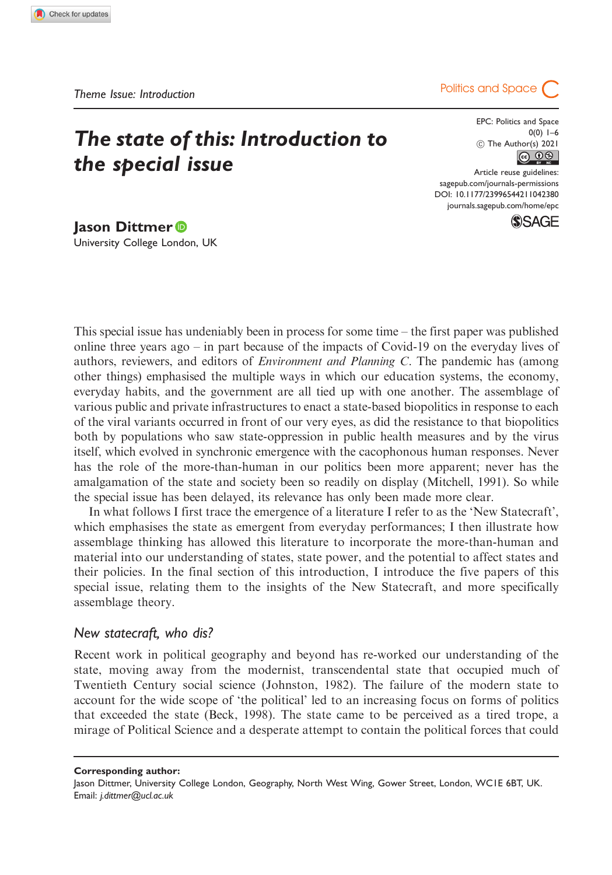# The state of this: Introduction to the special issue



EPC: Politics and Space  $0(0)$  1–6 C The Author(s) 2021  $\circledcirc$   $\circledcirc$ 

Article reuse guidelines: [sagepub.com/journals-permissions](http://uk.sagepub.com/en-gb/journals-permissions) [DOI: 10.1177/23996544211042380](http://dx.doi.org/10.1177/23996544211042380) <journals.sagepub.com/home/epc>**SSAGE** 

Jason Dittmer University College London, UK

This special issue has undeniably been in process for some time – the first paper was published online three years ago – in part because of the impacts of Covid-19 on the everyday lives of authors, reviewers, and editors of *Environment and Planning C*. The pandemic has (among other things) emphasised the multiple ways in which our education systems, the economy, everyday habits, and the government are all tied up with one another. The assemblage of various public and private infrastructures to enact a state-based biopolitics in response to each of the viral variants occurred in front of our very eyes, as did the resistance to that biopolitics both by populations who saw state-oppression in public health measures and by the virus itself, which evolved in synchronic emergence with the cacophonous human responses. Never has the role of the more-than-human in our politics been more apparent; never has the amalgamation of the state and society been so readily on display (Mitchell, 1991). So while the special issue has been delayed, its relevance has only been made more clear.

In what follows I first trace the emergence of a literature I refer to as the 'New Statecraft', which emphasises the state as emergent from everyday performances; I then illustrate how assemblage thinking has allowed this literature to incorporate the more-than-human and material into our understanding of states, state power, and the potential to affect states and their policies. In the final section of this introduction, I introduce the five papers of this special issue, relating them to the insights of the New Statecraft, and more specifically assemblage theory.

## New statecraft, who dis?

Recent work in political geography and beyond has re-worked our understanding of the state, moving away from the modernist, transcendental state that occupied much of Twentieth Century social science (Johnston, 1982). The failure of the modern state to account for the wide scope of 'the political' led to an increasing focus on forms of politics that exceeded the state (Beck, 1998). The state came to be perceived as a tired trope, a mirage of Political Science and a desperate attempt to contain the political forces that could

Corresponding author:

Jason Dittmer, University College London, Geography, North West Wing, Gower Street, London, WC1E 6BT, UK. Email: j.dittmer@ucl.ac.uk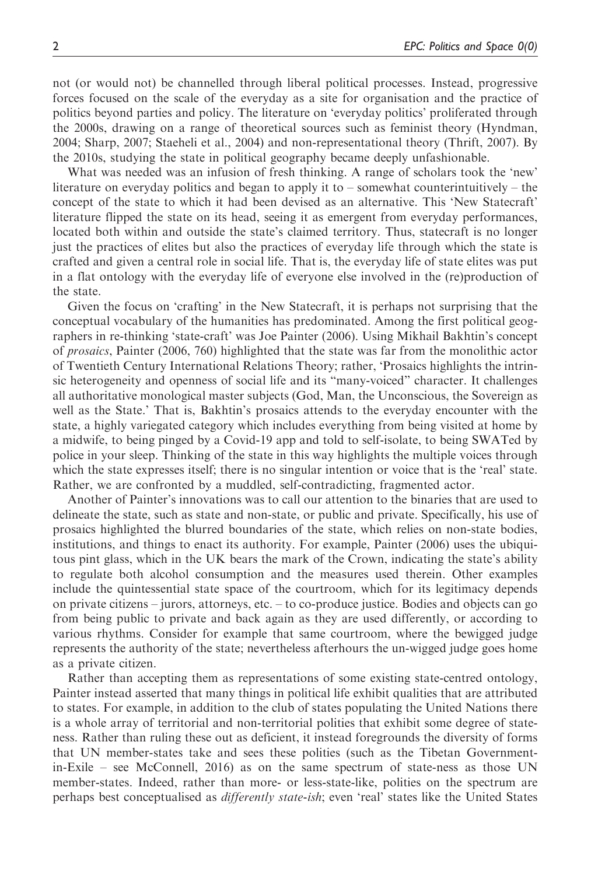not (or would not) be channelled through liberal political processes. Instead, progressive forces focused on the scale of the everyday as a site for organisation and the practice of politics beyond parties and policy. The literature on 'everyday politics' proliferated through the 2000s, drawing on a range of theoretical sources such as feminist theory (Hyndman, 2004; Sharp, 2007; Staeheli et al., 2004) and non-representational theory (Thrift, 2007). By the 2010s, studying the state in political geography became deeply unfashionable.

What was needed was an infusion of fresh thinking. A range of scholars took the 'new' literature on everyday politics and began to apply it to – somewhat counterintuitively – the concept of the state to which it had been devised as an alternative. This 'New Statecraft' literature flipped the state on its head, seeing it as emergent from everyday performances, located both within and outside the state's claimed territory. Thus, statecraft is no longer just the practices of elites but also the practices of everyday life through which the state is crafted and given a central role in social life. That is, the everyday life of state elites was put in a flat ontology with the everyday life of everyone else involved in the (re)production of the state.

Given the focus on 'crafting' in the New Statecraft, it is perhaps not surprising that the conceptual vocabulary of the humanities has predominated. Among the first political geographers in re-thinking 'state-craft' was Joe Painter (2006). Using Mikhail Bakhtin's concept of prosaics, Painter (2006, 760) highlighted that the state was far from the monolithic actor of Twentieth Century International Relations Theory; rather, 'Prosaics highlights the intrinsic heterogeneity and openness of social life and its "many-voiced" character. It challenges all authoritative monological master subjects (God, Man, the Unconscious, the Sovereign as well as the State.' That is, Bakhtin's prosaics attends to the everyday encounter with the state, a highly variegated category which includes everything from being visited at home by a midwife, to being pinged by a Covid-19 app and told to self-isolate, to being SWATed by police in your sleep. Thinking of the state in this way highlights the multiple voices through which the state expresses itself; there is no singular intention or voice that is the 'real' state. Rather, we are confronted by a muddled, self-contradicting, fragmented actor.

Another of Painter's innovations was to call our attention to the binaries that are used to delineate the state, such as state and non-state, or public and private. Specifically, his use of prosaics highlighted the blurred boundaries of the state, which relies on non-state bodies, institutions, and things to enact its authority. For example, Painter (2006) uses the ubiquitous pint glass, which in the UK bears the mark of the Crown, indicating the state's ability to regulate both alcohol consumption and the measures used therein. Other examples include the quintessential state space of the courtroom, which for its legitimacy depends on private citizens – jurors, attorneys, etc. – to co-produce justice. Bodies and objects can go from being public to private and back again as they are used differently, or according to various rhythms. Consider for example that same courtroom, where the bewigged judge represents the authority of the state; nevertheless afterhours the un-wigged judge goes home as a private citizen.

Rather than accepting them as representations of some existing state-centred ontology, Painter instead asserted that many things in political life exhibit qualities that are attributed to states. For example, in addition to the club of states populating the United Nations there is a whole array of territorial and non-territorial polities that exhibit some degree of stateness. Rather than ruling these out as deficient, it instead foregrounds the diversity of forms that UN member-states take and sees these polities (such as the Tibetan Governmentin-Exile – see McConnell, 2016) as on the same spectrum of state-ness as those UN member-states. Indeed, rather than more- or less-state-like, polities on the spectrum are perhaps best conceptualised as *differently state-ish*; even 'real' states like the United States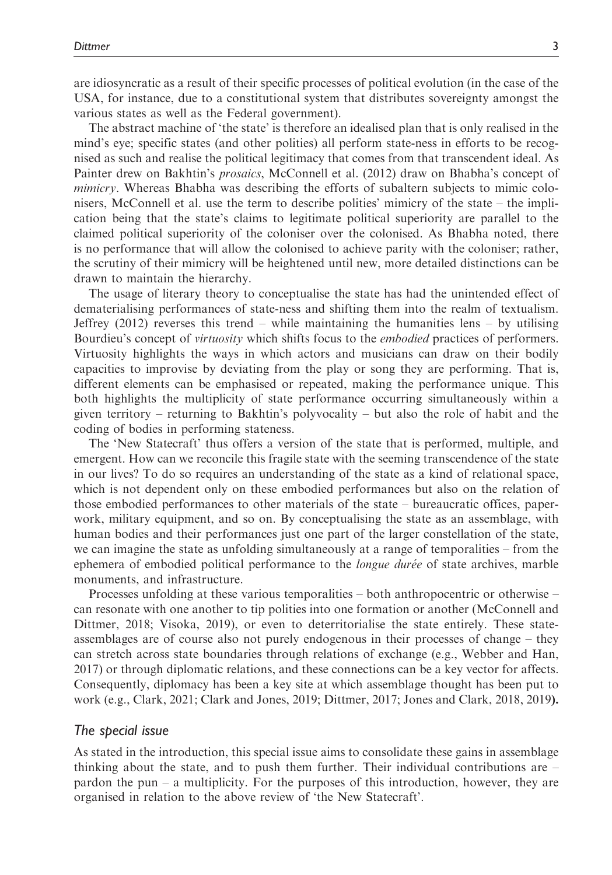are idiosyncratic as a result of their specific processes of political evolution (in the case of the USA, for instance, due to a constitutional system that distributes sovereignty amongst the various states as well as the Federal government).

The abstract machine of 'the state' is therefore an idealised plan that is only realised in the mind's eye; specific states (and other polities) all perform state-ness in efforts to be recognised as such and realise the political legitimacy that comes from that transcendent ideal. As Painter drew on Bakhtin's prosaics, McConnell et al. (2012) draw on Bhabha's concept of mimicry. Whereas Bhabha was describing the efforts of subaltern subjects to mimic colonisers, McConnell et al. use the term to describe polities' mimicry of the state – the implication being that the state's claims to legitimate political superiority are parallel to the claimed political superiority of the coloniser over the colonised. As Bhabha noted, there is no performance that will allow the colonised to achieve parity with the coloniser; rather, the scrutiny of their mimicry will be heightened until new, more detailed distinctions can be drawn to maintain the hierarchy.

The usage of literary theory to conceptualise the state has had the unintended effect of dematerialising performances of state-ness and shifting them into the realm of textualism. Jeffrey  $(2012)$  reverses this trend – while maintaining the humanities lens – by utilising Bourdieu's concept of *virtuosity* which shifts focus to the *embodied* practices of performers. Virtuosity highlights the ways in which actors and musicians can draw on their bodily capacities to improvise by deviating from the play or song they are performing. That is, different elements can be emphasised or repeated, making the performance unique. This both highlights the multiplicity of state performance occurring simultaneously within a given territory – returning to Bakhtin's polyvocality – but also the role of habit and the coding of bodies in performing stateness.

The 'New Statecraft' thus offers a version of the state that is performed, multiple, and emergent. How can we reconcile this fragile state with the seeming transcendence of the state in our lives? To do so requires an understanding of the state as a kind of relational space, which is not dependent only on these embodied performances but also on the relation of those embodied performances to other materials of the state – bureaucratic offices, paperwork, military equipment, and so on. By conceptualising the state as an assemblage, with human bodies and their performances just one part of the larger constellation of the state, we can imagine the state as unfolding simultaneously at a range of temporalities – from the ephemera of embodied political performance to the *longue durée* of state archives, marble monuments, and infrastructure.

Processes unfolding at these various temporalities – both anthropocentric or otherwise – can resonate with one another to tip polities into one formation or another (McConnell and Dittmer, 2018; Visoka, 2019), or even to deterritorialise the state entirely. These stateassemblages are of course also not purely endogenous in their processes of change – they can stretch across state boundaries through relations of exchange (e.g., Webber and Han, 2017) or through diplomatic relations, and these connections can be a key vector for affects. Consequently, diplomacy has been a key site at which assemblage thought has been put to work (e.g., Clark, 2021; Clark and Jones, 2019; Dittmer, 2017; Jones and Clark, 2018, 2019).

### The special issue

As stated in the introduction, this special issue aims to consolidate these gains in assemblage thinking about the state, and to push them further. Their individual contributions are – pardon the pun – a multiplicity. For the purposes of this introduction, however, they are organised in relation to the above review of 'the New Statecraft'.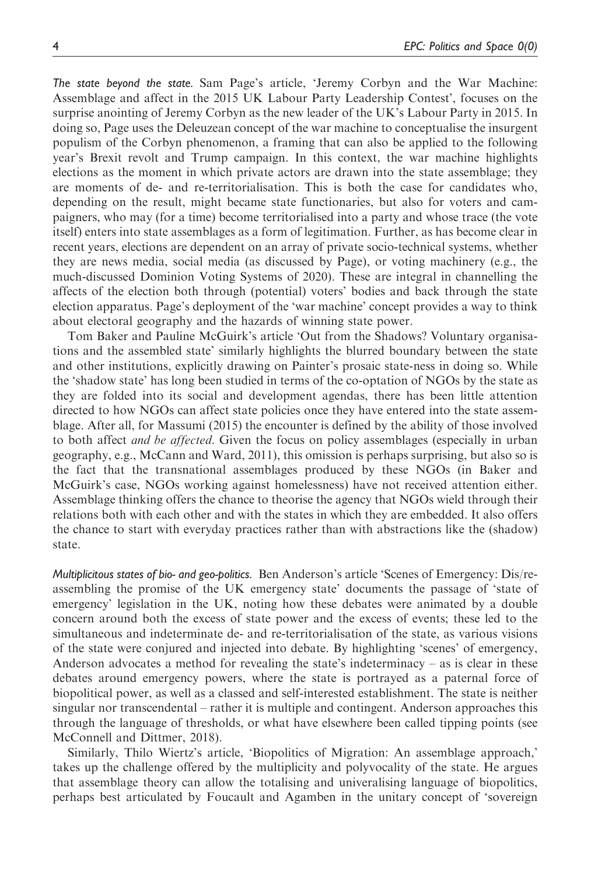The state beyond the state. Sam Page's article, 'Jeremy Corbyn and the War Machine: Assemblage and affect in the 2015 UK Labour Party Leadership Contest', focuses on the surprise anointing of Jeremy Corbyn as the new leader of the UK's Labour Party in 2015. In doing so, Page uses the Deleuzean concept of the war machine to conceptualise the insurgent populism of the Corbyn phenomenon, a framing that can also be applied to the following year's Brexit revolt and Trump campaign. In this context, the war machine highlights elections as the moment in which private actors are drawn into the state assemblage; they are moments of de- and re-territorialisation. This is both the case for candidates who, depending on the result, might became state functionaries, but also for voters and campaigners, who may (for a time) become territorialised into a party and whose trace (the vote itself) enters into state assemblages as a form of legitimation. Further, as has become clear in recent years, elections are dependent on an array of private socio-technical systems, whether they are news media, social media (as discussed by Page), or voting machinery (e.g., the much-discussed Dominion Voting Systems of 2020). These are integral in channelling the affects of the election both through (potential) voters' bodies and back through the state election apparatus. Page's deployment of the 'war machine' concept provides a way to think about electoral geography and the hazards of winning state power.

Tom Baker and Pauline McGuirk's article 'Out from the Shadows? Voluntary organisations and the assembled state' similarly highlights the blurred boundary between the state and other institutions, explicitly drawing on Painter's prosaic state-ness in doing so. While the 'shadow state' has long been studied in terms of the co-optation of NGOs by the state as they are folded into its social and development agendas, there has been little attention directed to how NGOs can affect state policies once they have entered into the state assemblage. After all, for Massumi (2015) the encounter is defined by the ability of those involved to both affect *and be affected*. Given the focus on policy assemblages (especially in urban geography, e.g., McCann and Ward, 2011), this omission is perhaps surprising, but also so is the fact that the transnational assemblages produced by these NGOs (in Baker and McGuirk's case, NGOs working against homelessness) have not received attention either. Assemblage thinking offers the chance to theorise the agency that NGOs wield through their relations both with each other and with the states in which they are embedded. It also offers the chance to start with everyday practices rather than with abstractions like the (shadow) state.

Multiplicitous states of bio- and geo-politics. Ben Anderson's article 'Scenes of Emergency: Dis/reassembling the promise of the UK emergency state' documents the passage of 'state of emergency' legislation in the UK, noting how these debates were animated by a double concern around both the excess of state power and the excess of events; these led to the simultaneous and indeterminate de- and re-territorialisation of the state, as various visions of the state were conjured and injected into debate. By highlighting 'scenes' of emergency, Anderson advocates a method for revealing the state's indeterminacy – as is clear in these debates around emergency powers, where the state is portrayed as a paternal force of biopolitical power, as well as a classed and self-interested establishment. The state is neither singular nor transcendental – rather it is multiple and contingent. Anderson approaches this through the language of thresholds, or what have elsewhere been called tipping points (see McConnell and Dittmer, 2018).

Similarly, Thilo Wiertz's article, 'Biopolitics of Migration: An assemblage approach,' takes up the challenge offered by the multiplicity and polyvocality of the state. He argues that assemblage theory can allow the totalising and univeralising language of biopolitics, perhaps best articulated by Foucault and Agamben in the unitary concept of 'sovereign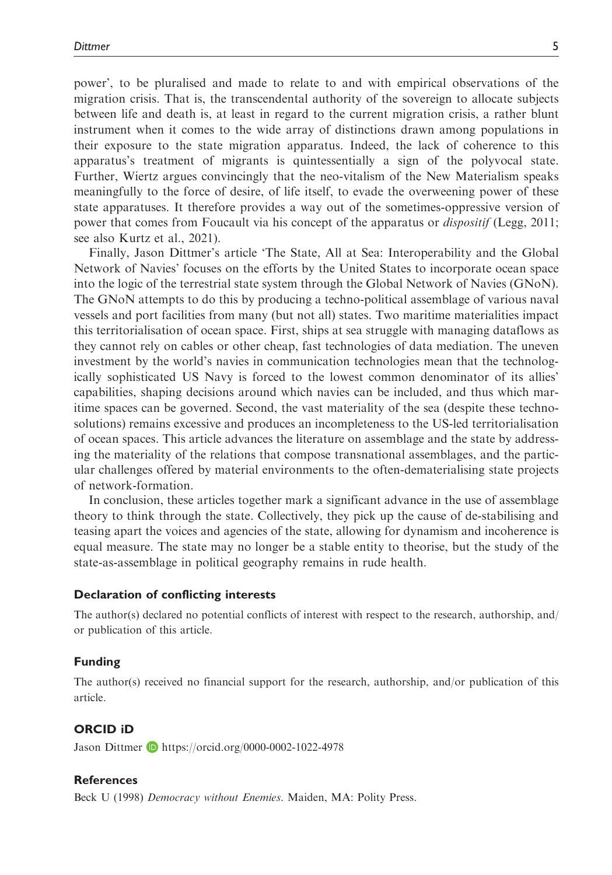power', to be pluralised and made to relate to and with empirical observations of the migration crisis. That is, the transcendental authority of the sovereign to allocate subjects between life and death is, at least in regard to the current migration crisis, a rather blunt instrument when it comes to the wide array of distinctions drawn among populations in their exposure to the state migration apparatus. Indeed, the lack of coherence to this apparatus's treatment of migrants is quintessentially a sign of the polyvocal state. Further, Wiertz argues convincingly that the neo-vitalism of the New Materialism speaks meaningfully to the force of desire, of life itself, to evade the overweening power of these state apparatuses. It therefore provides a way out of the sometimes-oppressive version of power that comes from Foucault via his concept of the apparatus or *dispositif* (Legg, 2011; see also Kurtz et al., 2021).

Finally, Jason Dittmer's article 'The State, All at Sea: Interoperability and the Global Network of Navies' focuses on the efforts by the United States to incorporate ocean space into the logic of the terrestrial state system through the Global Network of Navies (GNoN). The GNoN attempts to do this by producing a techno-political assemblage of various naval vessels and port facilities from many (but not all) states. Two maritime materialities impact this territorialisation of ocean space. First, ships at sea struggle with managing dataflows as they cannot rely on cables or other cheap, fast technologies of data mediation. The uneven investment by the world's navies in communication technologies mean that the technologically sophisticated US Navy is forced to the lowest common denominator of its allies' capabilities, shaping decisions around which navies can be included, and thus which maritime spaces can be governed. Second, the vast materiality of the sea (despite these technosolutions) remains excessive and produces an incompleteness to the US-led territorialisation of ocean spaces. This article advances the literature on assemblage and the state by addressing the materiality of the relations that compose transnational assemblages, and the particular challenges offered by material environments to the often-dematerialising state projects of network-formation.

In conclusion, these articles together mark a significant advance in the use of assemblage theory to think through the state. Collectively, they pick up the cause of de-stabilising and teasing apart the voices and agencies of the state, allowing for dynamism and incoherence is equal measure. The state may no longer be a stable entity to theorise, but the study of the state-as-assemblage in political geography remains in rude health.

#### Declaration of conflicting interests

The author(s) declared no potential conflicts of interest with respect to the research, authorship, and/ or publication of this article.

#### Funding

The author(s) received no financial support for the research, authorship, and/or publication of this article.

## ORCID iD

Jason Dittmer **b** <https://orcid.org/0000-0002-1022-4978>

#### References

Beck U (1998) Democracy without Enemies. Maiden, MA: Polity Press.